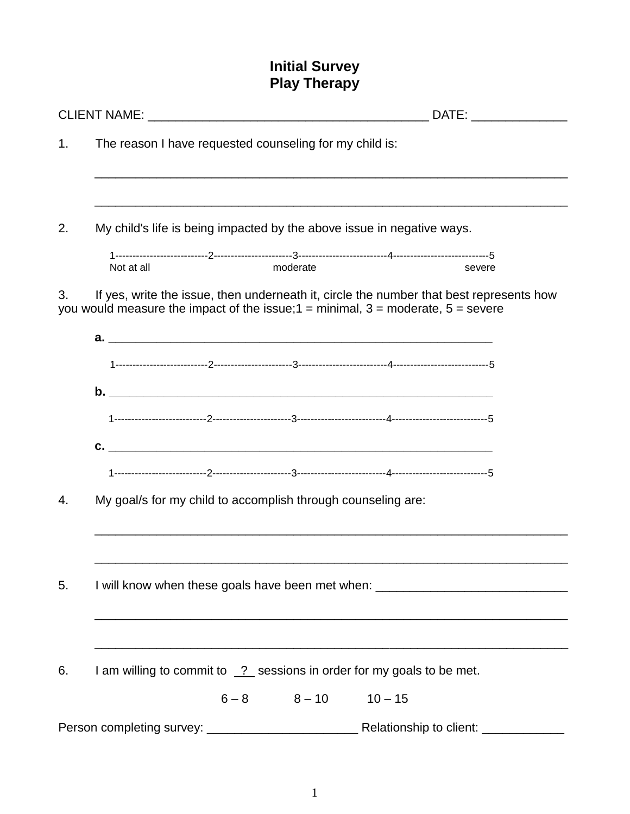# **Initial Survey Play Therapy**

| 1. |                                                                                  | The reason I have requested counseling for my child is:      |                      |                                                                                                                                                                                   |  |  |  |
|----|----------------------------------------------------------------------------------|--------------------------------------------------------------|----------------------|-----------------------------------------------------------------------------------------------------------------------------------------------------------------------------------|--|--|--|
|    |                                                                                  |                                                              |                      |                                                                                                                                                                                   |  |  |  |
| 2. | My child's life is being impacted by the above issue in negative ways.           |                                                              |                      |                                                                                                                                                                                   |  |  |  |
|    | Not at all                                                                       |                                                              | moderate             | severe                                                                                                                                                                            |  |  |  |
| 3. |                                                                                  |                                                              |                      | If yes, write the issue, then underneath it, circle the number that best represents how<br>you would measure the impact of the issue; $1 =$ minimal, $3 =$ moderate, $5 =$ severe |  |  |  |
|    |                                                                                  |                                                              |                      |                                                                                                                                                                                   |  |  |  |
|    |                                                                                  |                                                              |                      |                                                                                                                                                                                   |  |  |  |
|    |                                                                                  |                                                              |                      |                                                                                                                                                                                   |  |  |  |
|    |                                                                                  |                                                              |                      |                                                                                                                                                                                   |  |  |  |
|    |                                                                                  |                                                              |                      |                                                                                                                                                                                   |  |  |  |
| 4. |                                                                                  | My goal/s for my child to accomplish through counseling are: |                      |                                                                                                                                                                                   |  |  |  |
|    |                                                                                  |                                                              |                      |                                                                                                                                                                                   |  |  |  |
|    |                                                                                  |                                                              |                      |                                                                                                                                                                                   |  |  |  |
| 5. | I will know when these goals have been met when: _______________________________ |                                                              |                      |                                                                                                                                                                                   |  |  |  |
|    |                                                                                  |                                                              |                      |                                                                                                                                                                                   |  |  |  |
| 6. | I am willing to commit to 2 sessions in order for my goals to be met.            |                                                              |                      |                                                                                                                                                                                   |  |  |  |
|    |                                                                                  |                                                              | $6-8$ $8-10$ $10-15$ |                                                                                                                                                                                   |  |  |  |
|    |                                                                                  |                                                              |                      |                                                                                                                                                                                   |  |  |  |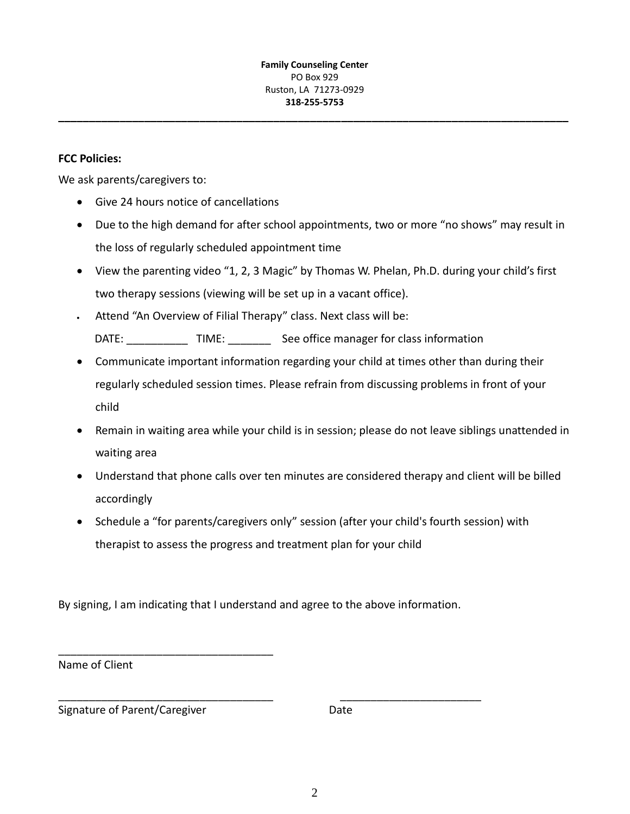**\_\_\_\_\_\_\_\_\_\_\_\_\_\_\_\_\_\_\_\_\_\_\_\_\_\_\_\_\_\_\_\_\_\_\_\_\_\_\_\_\_\_\_\_\_\_\_\_\_\_\_\_\_\_\_\_\_\_\_\_\_\_\_\_\_\_\_\_\_\_\_\_\_\_\_\_\_\_\_\_\_\_\_**

### **FCC Policies:**

We ask parents/caregivers to:

- Give 24 hours notice of cancellations
- Due to the high demand for after school appointments, two or more "no shows" may result in the loss of regularly scheduled appointment time
- View the parenting video "1, 2, 3 Magic" by Thomas W. Phelan, Ph.D. during your child's first two therapy sessions (viewing will be set up in a vacant office).
- Attend "An Overview of Filial Therapy" class. Next class will be: DATE: \_\_\_\_\_\_\_\_\_\_\_\_\_\_TIME: \_\_\_\_\_\_\_\_\_\_\_\_See office manager for class information
- Communicate important information regarding your child at times other than during their regularly scheduled session times. Please refrain from discussing problems in front of your child
- Remain in waiting area while your child is in session; please do not leave siblings unattended in waiting area
- Understand that phone calls over ten minutes are considered therapy and client will be billed accordingly
- Schedule a "for parents/caregivers only" session (after your child's fourth session) with therapist to assess the progress and treatment plan for your child

By signing, I am indicating that I understand and agree to the above information.

\_\_\_\_\_\_\_\_\_\_\_\_\_\_\_\_\_\_\_\_\_\_\_\_\_\_\_\_\_\_\_\_\_\_\_ \_\_\_\_\_\_\_\_\_\_\_\_\_\_\_\_\_\_\_\_\_\_\_

Name of Client

Signature of Parent/Caregiver **Date** 

\_\_\_\_\_\_\_\_\_\_\_\_\_\_\_\_\_\_\_\_\_\_\_\_\_\_\_\_\_\_\_\_\_\_\_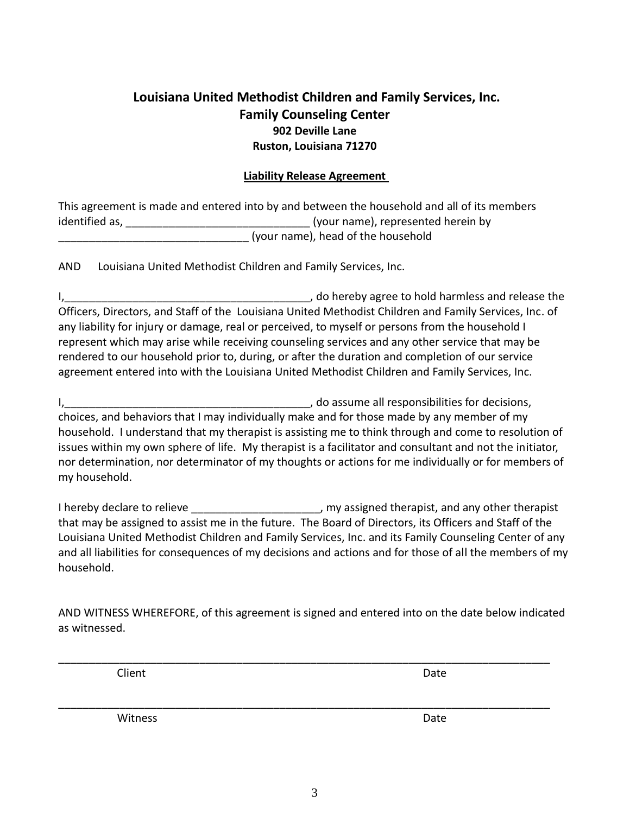## **Louisiana United Methodist Children and Family Services, Inc. Family Counseling Center 902 Deville Lane Ruston, Louisiana 71270**

### **Liability Release Agreement**

| This agreement is made and entered into by and between the household and all of its members |                                    |  |  |  |  |  |
|---------------------------------------------------------------------------------------------|------------------------------------|--|--|--|--|--|
| identified as,                                                                              | (your name), represented herein by |  |  |  |  |  |
|                                                                                             | (your name), head of the household |  |  |  |  |  |

AND Louisiana United Methodist Children and Family Services, Inc.

I, the contract of the contract of the contract of the contract of the contract of the contract of the contract of the contract of the contract of the contract of the contract of the contract of the contract of the contrac Officers, Directors, and Staff of the Louisiana United Methodist Children and Family Services, Inc. of any liability for injury or damage, real or perceived, to myself or persons from the household I represent which may arise while receiving counseling services and any other service that may be rendered to our household prior to, during, or after the duration and completion of our service agreement entered into with the Louisiana United Methodist Children and Family Services, Inc.

I,\_\_\_\_\_\_\_\_\_\_\_\_\_\_\_\_\_\_\_\_\_\_\_\_\_\_\_\_\_\_\_\_\_\_\_\_\_\_\_\_, do assume all responsibilities for decisions, choices, and behaviors that I may individually make and for those made by any member of my household. I understand that my therapist is assisting me to think through and come to resolution of issues within my own sphere of life. My therapist is a facilitator and consultant and not the initiator, nor determination, nor determinator of my thoughts or actions for me individually or for members of my household.

I hereby declare to relieve \_\_\_\_\_\_\_\_\_\_\_\_\_\_\_\_\_\_\_\_\_, my assigned therapist, and any other therapist that may be assigned to assist me in the future. The Board of Directors, its Officers and Staff of the Louisiana United Methodist Children and Family Services, Inc. and its Family Counseling Center of any and all liabilities for consequences of my decisions and actions and for those of all the members of my household.

AND WITNESS WHEREFORE, of this agreement is signed and entered into on the date below indicated as witnessed.

\_\_\_\_\_\_\_\_\_\_\_\_\_\_\_\_\_\_\_\_\_\_\_\_\_\_\_\_\_\_\_\_\_\_\_\_\_\_\_\_\_\_\_\_\_\_\_\_\_\_\_\_\_\_\_\_\_\_\_\_\_\_\_\_\_\_\_\_\_\_\_\_\_\_\_\_\_\_\_\_

\_\_\_\_\_\_\_\_\_\_\_\_\_\_\_\_\_\_\_\_\_\_\_\_\_\_\_\_\_\_\_\_\_\_\_\_\_\_\_\_\_\_\_\_\_\_\_\_\_\_\_\_\_\_\_\_\_\_\_\_\_\_\_\_\_\_\_\_\_\_\_\_\_\_\_\_\_\_\_\_

**Client** Date **Date** 

Witness **Date**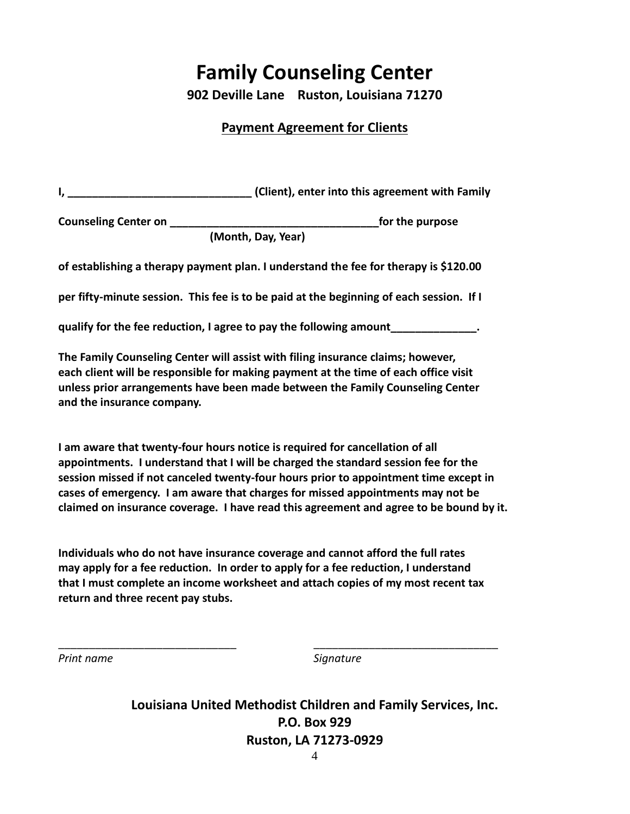# **Family Counseling Center**

**902 Deville Lane Ruston, Louisiana 71270**

### **Payment Agreement for Clients**

|                                                                                                                       | (Client), enter into this agreement with Family |  |  |  |  |
|-----------------------------------------------------------------------------------------------------------------------|-------------------------------------------------|--|--|--|--|
| <b>Counseling Center on Service Service Service Service Service Service Service Service Service Service Service S</b> | for the purpose                                 |  |  |  |  |
|                                                                                                                       | (Month, Day, Year)                              |  |  |  |  |
| of establishing a therapy payment plan. I understand the fee for therapy is \$120.00                                  |                                                 |  |  |  |  |
| per fifty-minute session. This fee is to be paid at the beginning of each session. If I                               |                                                 |  |  |  |  |
| qualify for the fee reduction, I agree to pay the following amount_____________.                                      |                                                 |  |  |  |  |
|                                                                                                                       |                                                 |  |  |  |  |

**The Family Counseling Center will assist with filing insurance claims; however, each client will be responsible for making payment at the time of each office visit unless prior arrangements have been made between the Family Counseling Center and the insurance company.**

**I am aware that twenty-four hours notice is required for cancellation of all appointments. I understand that I will be charged the standard session fee for the session missed if not canceled twenty-four hours prior to appointment time except in cases of emergency. I am aware that charges for missed appointments may not be claimed on insurance coverage. I have read this agreement and agree to be bound by it.**

**Individuals who do not have insurance coverage and cannot afford the full rates may apply for a fee reduction. In order to apply for a fee reduction, I understand that I must complete an income worksheet and attach copies of my most recent tax return and three recent pay stubs.** 

\_\_\_\_\_\_\_\_\_\_\_\_\_\_\_\_\_\_\_\_\_\_\_\_\_\_\_\_\_ \_\_\_\_\_\_\_\_\_\_\_\_\_\_\_\_\_\_\_\_\_\_\_\_\_\_\_\_\_\_

*Print name Signature*

**Louisiana United Methodist Children and Family Services, Inc. P.O. Box 929 Ruston, LA 71273-0929**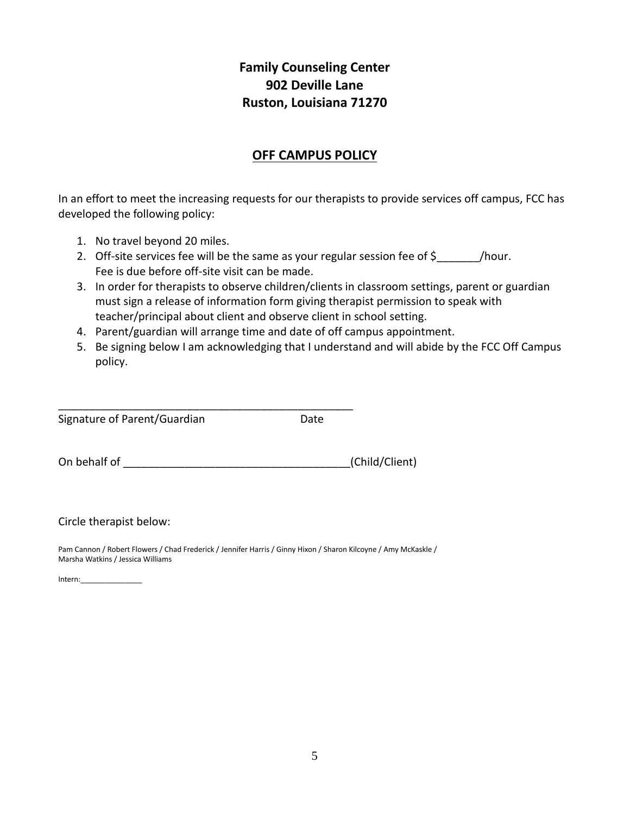# **Family Counseling Center 902 Deville Lane Ruston, Louisiana 71270**

## **OFF CAMPUS POLICY**

In an effort to meet the increasing requests for our therapists to provide services off campus, FCC has developed the following policy:

- 1. No travel beyond 20 miles.
- 2. Off-site services fee will be the same as your regular session fee of \$\_\_\_\_\_\_\_\_/hour. Fee is due before off-site visit can be made.
- 3. In order for therapists to observe children/clients in classroom settings, parent or guardian must sign a release of information form giving therapist permission to speak with teacher/principal about client and observe client in school setting.
- 4. Parent/guardian will arrange time and date of off campus appointment.
- 5. Be signing below I am acknowledging that I understand and will abide by the FCC Off Campus policy.

| Signature of Parent/Guardian | Date |
|------------------------------|------|

On behalf of \_\_\_\_\_\_\_\_\_\_\_\_\_\_\_\_\_\_\_\_\_\_\_\_\_\_\_\_\_\_\_\_\_\_\_\_\_(Child/Client)

Circle therapist below:

Pam Cannon / Robert Flowers / Chad Frederick / Jennifer Harris / Ginny Hixon / Sharon Kilcoyne / Amy McKaskle / Marsha Watkins / Jessica Williams

Intern:\_\_\_\_\_\_\_\_\_\_\_\_\_\_\_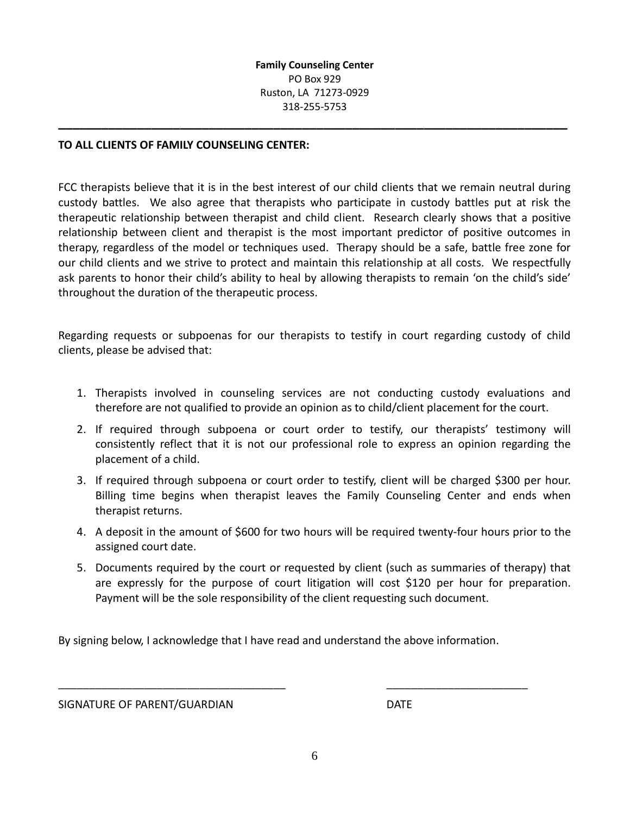**\_\_\_\_\_\_\_\_\_\_\_\_\_\_\_\_\_\_\_\_\_\_\_\_\_\_\_\_\_\_\_\_\_\_\_\_\_\_\_\_\_\_\_\_\_\_\_\_\_\_\_\_\_\_\_\_\_\_\_\_\_\_\_\_\_\_\_\_\_\_\_**

#### **TO ALL CLIENTS OF FAMILY COUNSELING CENTER:**

FCC therapists believe that it is in the best interest of our child clients that we remain neutral during custody battles. We also agree that therapists who participate in custody battles put at risk the therapeutic relationship between therapist and child client. Research clearly shows that a positive relationship between client and therapist is the most important predictor of positive outcomes in therapy, regardless of the model or techniques used. Therapy should be a safe, battle free zone for our child clients and we strive to protect and maintain this relationship at all costs. We respectfully ask parents to honor their child's ability to heal by allowing therapists to remain 'on the child's side' throughout the duration of the therapeutic process.

Regarding requests or subpoenas for our therapists to testify in court regarding custody of child clients, please be advised that:

- 1. Therapists involved in counseling services are not conducting custody evaluations and therefore are not qualified to provide an opinion as to child/client placement for the court.
- 2. If required through subpoena or court order to testify, our therapists' testimony will consistently reflect that it is not our professional role to express an opinion regarding the placement of a child.
- 3. If required through subpoena or court order to testify, client will be charged \$300 per hour. Billing time begins when therapist leaves the Family Counseling Center and ends when therapist returns.
- 4. A deposit in the amount of \$600 for two hours will be required twenty-four hours prior to the assigned court date.
- 5. Documents required by the court or requested by client (such as summaries of therapy) that are expressly for the purpose of court litigation will cost \$120 per hour for preparation. Payment will be the sole responsibility of the client requesting such document.

By signing below, I acknowledge that I have read and understand the above information.

\_\_\_\_\_\_\_\_\_\_\_\_\_\_\_\_\_\_\_\_\_\_\_\_\_\_\_\_\_\_\_\_\_\_\_\_\_ \_\_\_\_\_\_\_\_\_\_\_\_\_\_\_\_\_\_\_\_\_\_\_

SIGNATURE OF PARENT/GUARDIAN DATE